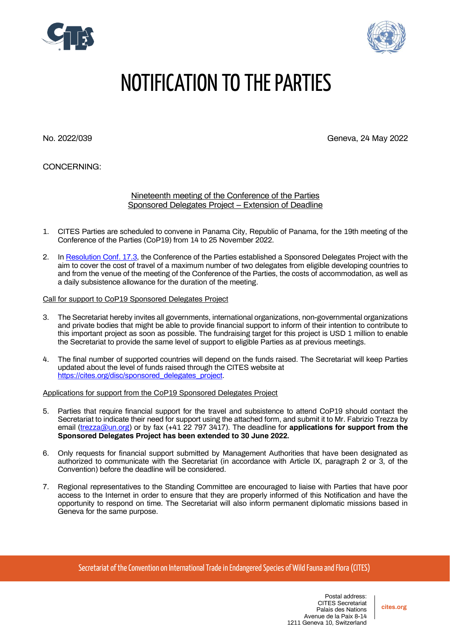



# NOTIFICATION TO THE PARTIES

No. 2022/039 Geneva, 24 May 2022

## CONCERNING:

#### Nineteenth meeting of the Conference of the Parties Sponsored Delegates Project – Extension of Deadline

- 1. CITES Parties are scheduled to convene in Panama City, Republic of Panama, for the 19th meeting of the Conference of the Parties (CoP19) from 14 to 25 November 2022.
- 2. In [Resolution Conf. 17.3,](https://cites.org/sites/default/files/document/E-Res-17-03.pdf) the Conference of the Parties established a Sponsored Delegates Project with the aim to cover the cost of travel of a maximum number of two delegates from eligible developing countries to and from the venue of the meeting of the Conference of the Parties, the costs of accommodation, as well as a daily subsistence allowance for the duration of the meeting.

#### Call for support to CoP19 Sponsored Delegates Project

- 3. The Secretariat hereby invites all governments, international organizations, non-governmental organizations and private bodies that might be able to provide financial support to inform of their intention to contribute to this important project as soon as possible. The fundraising target for this project is USD 1 million to enable the Secretariat to provide the same level of support to eligible Parties as at previous meetings.
- 4. The final number of supported countries will depend on the funds raised. The Secretariat will keep Parties updated about the level of funds raised through the CITES website at [https://cites.org/disc/sponsored\\_delegates\\_project.](https://cites.org/disc/sponsored_delegates_project)

#### Applications for support from the CoP19 Sponsored Delegates Project

- 5. Parties that require financial support for the travel and subsistence to attend CoP19 should contact the Secretariat to indicate their need for support using the attached form, and submit it to Mr. Fabrizio Trezza by email [\(trezza@un.org\)](mailto:trezza@un.org) or by fax (+41 22 797 3417). The deadline for **applications for support from the Sponsored Delegates Project has been extended to 30 June 2022.**
- 6. Only requests for financial support submitted by Management Authorities that have been designated as authorized to communicate with the Secretariat (in accordance with Article IX, paragraph 2 or 3, of the Convention) before the deadline will be considered.
- 7. Regional representatives to the Standing Committee are encouraged to liaise with Parties that have poor access to the Internet in order to ensure that they are properly informed of this Notification and have the opportunity to respond on time. The Secretariat will also inform permanent diplomatic missions based in Geneva for the same purpose.

Secretariat of the Convention on International Trade in Endangered Species of Wild Fauna and Flora (CITES)